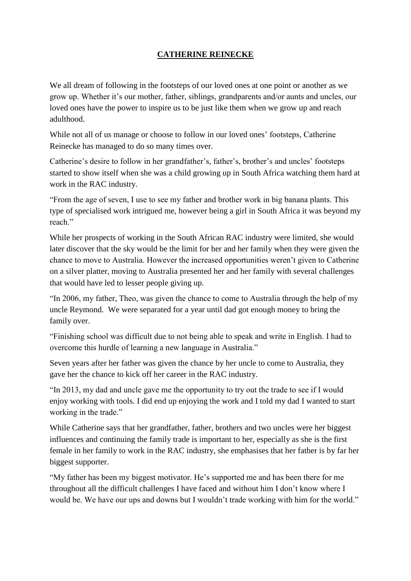## **CATHERINE REINECKE**

We all dream of following in the footsteps of our loved ones at one point or another as we grow up. Whether it's our mother, father, siblings, grandparents and/or aunts and uncles, our loved ones have the power to inspire us to be just like them when we grow up and reach adulthood.

While not all of us manage or choose to follow in our loved ones' footsteps, Catherine Reinecke has managed to do so many times over.

Catherine's desire to follow in her grandfather's, father's, brother's and uncles' footsteps started to show itself when she was a child growing up in South Africa watching them hard at work in the RAC industry.

"From the age of seven, I use to see my father and brother work in big banana plants. This type of specialised work intrigued me, however being a girl in South Africa it was beyond my reach."

While her prospects of working in the South African RAC industry were limited, she would later discover that the sky would be the limit for her and her family when they were given the chance to move to Australia. However the increased opportunities weren't given to Catherine on a silver platter, moving to Australia presented her and her family with several challenges that would have led to lesser people giving up.

"In 2006, my father, Theo, was given the chance to come to Australia through the help of my uncle Reymond. We were separated for a year until dad got enough money to bring the family over.

"Finishing school was difficult due to not being able to speak and write in English. I had to overcome this hurdle of learning a new language in Australia."

Seven years after her father was given the chance by her uncle to come to Australia, they gave her the chance to kick off her career in the RAC industry.

"In 2013, my dad and uncle gave me the opportunity to try out the trade to see if I would enjoy working with tools. I did end up enjoying the work and I told my dad I wanted to start working in the trade."

While Catherine says that her grandfather, father, brothers and two uncles were her biggest influences and continuing the family trade is important to her, especially as she is the first female in her family to work in the RAC industry, she emphasises that her father is by far her biggest supporter.

"My father has been my biggest motivator. He's supported me and has been there for me throughout all the difficult challenges I have faced and without him I don't know where I would be. We have our ups and downs but I wouldn't trade working with him for the world."